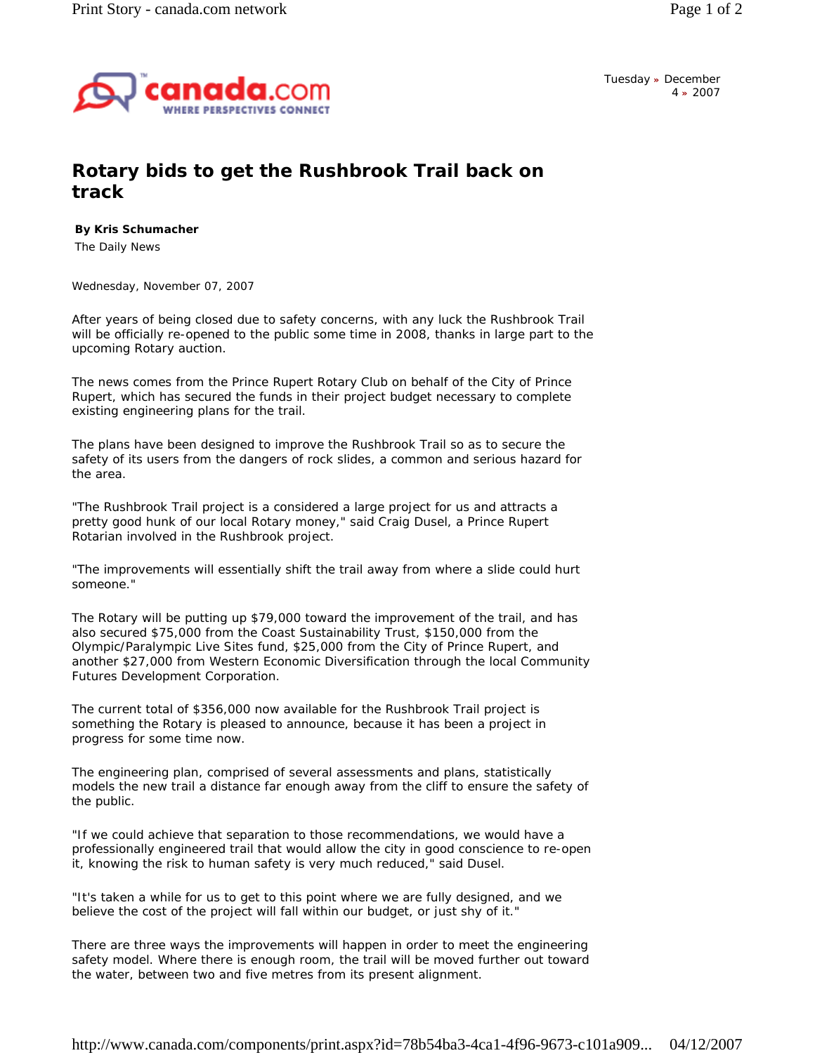

Tuesday **»** December 4 **»** 2007

## **Rotary bids to get the Rushbrook Trail back on track**

## **By Kris Schumacher**

The Daily News

*Wednesday, November 07, 2007* 

After years of being closed due to safety concerns, with any luck the Rushbrook Trail will be officially re-opened to the public some time in 2008, thanks in large part to the upcoming Rotary auction.

The news comes from the Prince Rupert Rotary Club on behalf of the City of Prince Rupert, which has secured the funds in their project budget necessary to complete existing engineering plans for the trail.

The plans have been designed to improve the Rushbrook Trail so as to secure the safety of its users from the dangers of rock slides, a common and serious hazard for the area.

"The Rushbrook Trail project is a considered a large project for us and attracts a pretty good hunk of our local Rotary money," said Craig Dusel, a Prince Rupert Rotarian involved in the Rushbrook project.

"The improvements will essentially shift the trail away from where a slide could hurt someone."

The Rotary will be putting up \$79,000 toward the improvement of the trail, and has also secured \$75,000 from the Coast Sustainability Trust, \$150,000 from the Olympic/Paralympic Live Sites fund, \$25,000 from the City of Prince Rupert, and another \$27,000 from Western Economic Diversification through the local Community Futures Development Corporation.

The current total of \$356,000 now available for the Rushbrook Trail project is something the Rotary is pleased to announce, because it has been a project in progress for some time now.

The engineering plan, comprised of several assessments and plans, statistically models the new trail a distance far enough away from the cliff to ensure the safety of the public.

"If we could achieve that separation to those recommendations, we would have a professionally engineered trail that would allow the city in good conscience to re-open it, knowing the risk to human safety is very much reduced," said Dusel.

"It's taken a while for us to get to this point where we are fully designed, and we believe the cost of the project will fall within our budget, or just shy of it."

There are three ways the improvements will happen in order to meet the engineering safety model. Where there is enough room, the trail will be moved further out toward the water, between two and five metres from its present alignment.